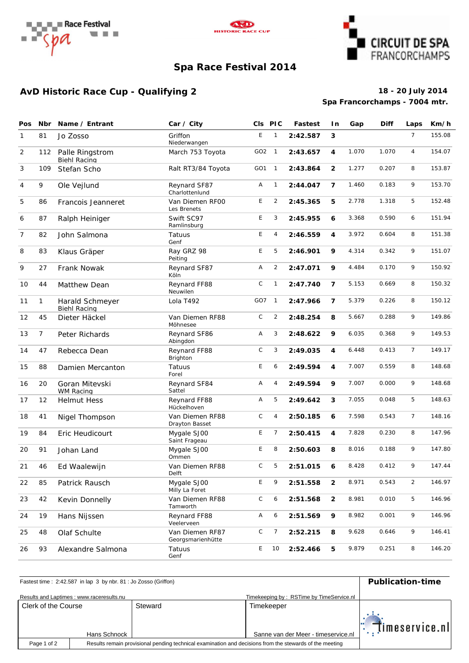





### **Spa Race Festival 2014**

### **AvD Historic Race Cup - Qualifying 2 18 - 20 July 2014**

# **Spa Francorchamps - 7004 mtr.**

| Pos          | Nbr            | Name / Entrant                         | Car / City                           |                 | CIs PIC        | <b>Fastest</b> | In.            | Gap   | <b>Diff</b> | Laps           | Km/h   |
|--------------|----------------|----------------------------------------|--------------------------------------|-----------------|----------------|----------------|----------------|-------|-------------|----------------|--------|
| $\mathbf{1}$ | 81             | Jo Zosso                               | Griffon<br>Niederwangen              | E               | $\mathbf{1}$   | 2:42.587       | 3              |       |             | $\overline{7}$ | 155.08 |
| 2            | 112            | Palle Ringstrom<br>Biehl Racing        | March 753 Toyota                     | GO2 1           |                | 2:43.657       | 4              | 1.070 | 1.070       | $\overline{4}$ | 154.07 |
| 3            | 109            | Stefan Scho                            | Ralt RT3/84 Toyota                   | GO <sub>1</sub> | $\overline{1}$ | 2:43.864       | $\overline{2}$ | 1.277 | 0.207       | 8              | 153.87 |
| 4            | 9              | Ole Vejlund                            | Reynard SF87<br>Charlottenlund       | Α               | $\mathbf{1}$   | 2:44.047       | $\overline{7}$ | 1.460 | 0.183       | 9              | 153.70 |
| 5            | 86             | Francois Jeanneret                     | Van Diemen RFOO<br>Les Brenets       | E               | $\overline{2}$ | 2:45.365       | 5              | 2.778 | 1.318       | 5              | 152.48 |
| 6            | 87             | Ralph Heiniger                         | Swift SC97<br>Ramlinsburg            | E               | 3              | 2:45.955       | 6              | 3.368 | 0.590       | 6              | 151.94 |
| 7            | 82             | John Salmona                           | Tatuus<br>Genf                       | E               | 4              | 2:46.559       | 4              | 3.972 | 0.604       | 8              | 151.38 |
| 8            | 83             | Klaus Gräper                           | Ray GRZ 98<br>Peiting                | E               | 5              | 2:46.901       | 9              | 4.314 | 0.342       | 9              | 151.07 |
| 9            | 27             | Frank Nowak                            | Reynard SF87<br>Köln                 | Α               | $\overline{2}$ | 2:47.071       | 9              | 4.484 | 0.170       | 9              | 150.92 |
| 10           | 44             | Matthew Dean                           | Reynard FF88<br>Neuwilen             | $\mathsf C$     | $\mathbf{1}$   | 2:47.740       | 7              | 5.153 | 0.669       | 8              | 150.32 |
| 11           | $\mathbf{1}$   | Harald Schmeyer<br><b>Biehl Racing</b> | Lola T492                            | GO7             | $\overline{1}$ | 2:47.966       | $\overline{7}$ | 5.379 | 0.226       | 8              | 150.12 |
| 12           | 45             | Dieter Häckel                          | Van Diemen RF88<br>Möhnesee          | $\mathsf C$     | $\overline{c}$ | 2:48.254       | 8              | 5.667 | 0.288       | 9              | 149.86 |
| 13           | $\overline{7}$ | Peter Richards                         | Reynard SF86<br>Abingdon             | Α               | 3              | 2:48.622       | 9              | 6.035 | 0.368       | 9              | 149.53 |
| 14           | 47             | Rebecca Dean                           | Reynard FF88<br>Brighton             | $\mathsf C$     | 3              | 2:49.035       | 4              | 6.448 | 0.413       | $\overline{7}$ | 149.17 |
| 15           | 88             | Damien Mercanton                       | Tatuus<br>Forel                      | E               | 6              | 2:49.594       | 4              | 7.007 | 0.559       | 8              | 148.68 |
| 16           | 20             | Goran Mitevski<br>WM Racing            | Reynard SF84<br>Sattel               | Α               | 4              | 2:49.594       | 9              | 7.007 | 0.000       | 9              | 148.68 |
| 17           | 12             | <b>Helmut Hess</b>                     | Reynard FF88<br>Hückelhoven          | Α               | 5              | 2:49.642       | 3              | 7.055 | 0.048       | 5              | 148.63 |
| 18           | 41             | Nigel Thompson                         | Van Diemen RF88<br>Drayton Basset    | $\mathsf C$     | 4              | 2:50.185       | 6              | 7.598 | 0.543       | $\overline{7}$ | 148.16 |
| 19           | 84             | Eric Heudicourt                        | Mygale SJ00<br>Saint Frageau         | E               | 7              | 2:50.415       | 4              | 7.828 | 0.230       | 8              | 147.96 |
| 20           | 91             | Johan Land                             | Mygale SJ00<br>Ommen                 | Ε               | 8              | 2:50.603       | 8              | 8.016 | 0.188       | 9              | 147.80 |
| 21           | 46             | Ed Waalewijn                           | Van Diemen RF88<br>Delft             | $\mathsf{C}$    | 5              | 2:51.015       | 6              | 8.428 | 0.412       | 9              | 147.44 |
| 22           | 85             | Patrick Rausch                         | Mygale SJ00<br>Milly La Foret        | E               | 9              | 2:51.558       | $\overline{2}$ | 8.971 | 0.543       | $\overline{2}$ | 146.97 |
| 23           | 42             | Kevin Donnelly                         | Van Diemen RF88<br>Tamworth          | $\mathsf C$     | 6              | 2:51.568       | $\overline{2}$ | 8.981 | 0.010       | 5              | 146.96 |
| 24           | 19             | Hans Nijssen                           | Reynard FF88<br>Veelerveen           | Α               | 6              | 2:51.569       | 9              | 8.982 | 0.001       | 9              | 146.96 |
| 25           | 48             | Olaf Schulte                           | Van Diemen RF87<br>Georgsmarienhütte | С               | $\overline{7}$ | 2:52.215       | 8              | 9.628 | 0.646       | 9              | 146.41 |
| 26           | 93             | Alexandre Salmona                      | Tatuus<br>Genf                       | Е               | 10             | 2:52.466       | 5              | 9.879 | 0.251       | 8              | 146.20 |

# Fastest time : 2:42.587 in lap 3 by nbr. 81 : Jo Zosso (Griffon) **Publication-time**

| Results and Laptimes: www.raceresults.nu |  |                                                                                                         |                                     |  |  |  |
|------------------------------------------|--|---------------------------------------------------------------------------------------------------------|-------------------------------------|--|--|--|
| Clerk of the Course                      |  | Steward                                                                                                 | Timekeeper                          |  |  |  |
| Hans Schnock                             |  |                                                                                                         | Sanne van der Meer - timeservice.nl |  |  |  |
| Page 1 of 2                              |  | Results remain provisional pending technical examination and decisions from the stewards of the meeting |                                     |  |  |  |